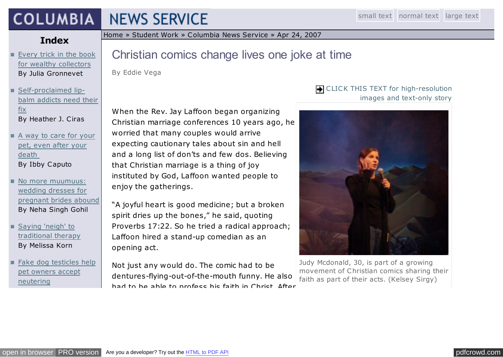## **COLUMBIA NEWS SERVICE**

## **Index**

**[Every trick in the book](http://jscms.jrn.columbia.edu/cns/2007-04-24/gronnevet-artistbooks.html)** for wealthy collectors By Julia Gronnevet

- **Self-proclaimed lip**[balm addicts need their](http://jscms.jrn.columbia.edu/cns/2007-04-24/ciras-lipbalmaddicts.html) fix By Heather J. Ciras
- [A way to care for your](http://jscms.jrn.columbia.edu/cns/2007-04-24/caputo-pettrustfunds.html) pet, even after your death By Ibby Caputo
- No more muumuus: wedding dresses for [pregnant brides abound](http://jscms.jrn.columbia.edu/cns/2007-04-24/gohil-maternitybridal.html) By Neha Singh Gohil
- Saying 'neigh' to [traditional therapy](http://jscms.jrn.columbia.edu/cns/2007-04-24/korn-nothorsingaround.html) By Melissa Korn
- [Fake dog testicles help](http://jscms.jrn.columbia.edu/cns/2007-04-24/vinograd-dogtesticles.html) pet owners accept neutering

By Cassandra Vinograd

[Home](http://www.jrn.columbia.edu/) » [Student Work](http://www.jrn.columbia.edu/studentwork/) » [Columbia News Service](http://jscms.jrn.columbia.edu/cns/2009-04-28.html) » [Apr 24, 2007](http://jscms.jrn.columbia.edu/cns/2007-04-24.html)

# Christian comics change lives one joke at time

By Eddie Vega

When the Rev. Jay Laffoon began organizing Christian marriage conferences 10 years ago, he worried that many couples would arrive expecting cautionary tales about sin and hell and a long list of don'ts and few dos. Believing that Christian marriage is a thing of joy instituted by God, Laffoon wanted people to enjoy the gatherings.

"A joyful heart is good medicine; but a broken spirit dries up the bones," he said, quoting Proverbs 17:22. So he tried a radical approach; Laffoon hired a stand-up comedian as an opening act.

Not just any would do. The comic had to be dentures-flying-out-of-the-mouth funny. He also had to he ahle to profess his faith in Christ. After

### CLICK THIS TEXT for high-resolution images and text-only story



Judy Mcdonald, 30, is part of a growing movement of Christian comics sharing their faith as part of their acts. (Kelsey Sirgy)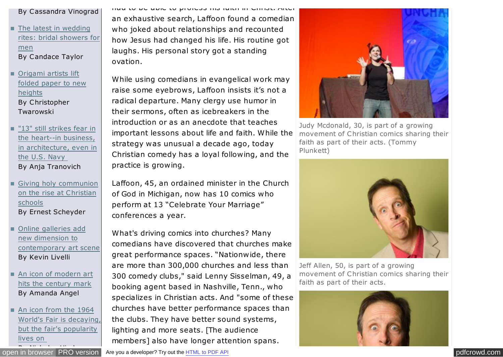#### By Cassandra Vinograd

- **The latest in wedding** [rites: bridal showers for](http://jscms.jrn.columbia.edu/cns/2007-04-24/taylor-groomshower.html) men By Candace Taylor
- Origami artists lift [folded paper to new](http://jscms.jrn.columbia.edu/cns/2007-04-24/twarowski-origamiinnovations.html) heights By Christopher Twarowski
- "13" still strikes fear in the heart--in business, [in architecture, even in](http://jscms.jrn.columbia.edu/cns/2007-04-24/tranovich-13floor.html) the U.S. Navy By Anja Tranovich
- [Giving holy communion](http://jscms.jrn.columbia.edu/cns/2007-04-24/scheyder-schoolcommunion.html) on the rise at Christian schools By Ernest Scheyder
- Online galleries add new dimension to [contemporary art scene](http://jscms.jrn.columbia.edu/cns/2007-04-24/livelli-onlinegalleries.html) By Kevin Livelli
- [An icon of modern art](http://jscms.jrn.columbia.edu/cns/2007-04-24/angel-picassonow100.html) hits the century mark By Amanda Angel
- An icon from the 1964 [World's Fair is decaying,](http://jscms.jrn.columbia.edu/cns/2007-04-24/hirshon-worldsfairremnants.html) but the fair's popularity lives on
- open in browser PRO version

had to be able to profess his faith in Christ. After an exhaustive search, Laffoon found a comedian who joked about relationships and recounted how Jesus had changed his life. His routine got laughs. His personal story got a standing ovation.

While using comedians in evangelical work may raise some eyebrows, Laffoon insists it's not a radical departure. Many clergy use humor in their sermons, often as icebreakers in the introduction or as an anecdote that teaches important lessons about life and faith. While the strategy was unusual a decade ago, today Christian comedy has a loyal following, and the practice is growing.

Laffoon, 45, an ordained minister in the Church of God in Michigan, now has 10 comics who perform at 13 "Celebrate Your Marriage" conferences a year.

What's driving comics into churches? Many comedians have discovered that churches make great performance spaces. "Nationwide, there are more than 300,000 churches and less than 300 comedy clubs," said Lenny Sisselman, 49, a booking agent based in Nashville, Tenn., who specializes in Christian acts. And "some of these churches have better performance spaces than the clubs. They have better sound systems, lighting and more seats. [The audience members] also have longer attention spans.



Judy Mcdonald, 30, is part of a growing movement of Christian comics sharing their faith as part of their acts. (Tommy Plunkett)



Jeff Allen, 50, is part of a growing movement of Christian comics sharing their faith as part of their acts.

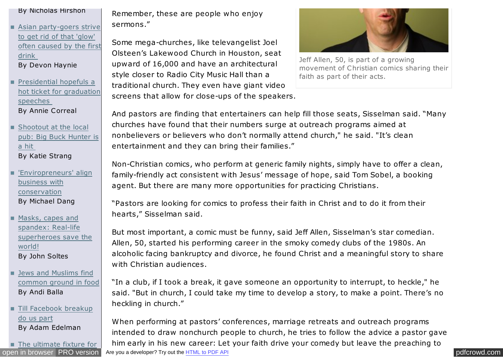#### By Nicholas Hirshon

- Asian party-goers strive to get rid of that 'glow' [often caused by the first](http://jscms.jrn.columbia.edu/cns/2007-04-24/haynie-asianglow.html) drink By Devon Haynie
- Presidential hopefuls a [hot ticket for graduation](http://jscms.jrn.columbia.edu/cns/2007-04-24/correal-graduationspeakers.html) speeches By Annie Correal
- Shootout at the local [pub: Big Buck Hunter is](http://jscms.jrn.columbia.edu/cns/2007-04-24/strang-bigbuckhunter.html) a hit By Katie Strang
- ['Enviropreneurs' align](http://jscms.jrn.columbia.edu/cns/2007-04-24/dang-enviropreneurs.html) business with conservation By Michael Dang
- Masks, capes and spandex: Real-life [superheroes save the](http://jscms.jrn.columbia.edu/cns/2007-04-24/soltes-realsuperheroes.html) world! By John Soltes
- Jews and Muslims find [common ground in food](http://jscms.jrn.columbia.edu/cns/2007-04-24/balla-halalkosher.html) By Andi Balla
- [Till Facebook breakup](http://jscms.jrn.columbia.edu/cns/2007-04-24/edelman-facebookrelationships.html) do us part By Adam Edelman

■ [The ultimate fixture for](http://jscms.jrn.columbia.edu/cns/2007-04-24/gould-ritzytoilets.html)

Remember, these are people who enjoy sermons."

Some mega-churches, like televangelist Joel Olsteen's Lakewood Church in Houston, seat upward of 16,000 and have an architectural style closer to Radio City Music Hall than a traditional church. They even have giant video screens that allow for close-ups of the speakers.



Jeff Allen, 50, is part of a growing movement of Christian comics sharing their faith as part of their acts.

And pastors are finding that entertainers can help fill those seats, Sisselman said. "Many churches have found that their numbers surge at outreach programs aimed at nonbelievers or believers who don't normally attend church," he said. "It's clean entertainment and they can bring their families."

Non-Christian comics, who perform at generic family nights, simply have to offer a clean, family-friendly act consistent with Jesus' message of hope, said Tom Sobel, a booking agent. But there are many more opportunities for practicing Christians.

"Pastors are looking for comics to profess their faith in Christ and to do it from their hearts," Sisselman said.

But most important, a comic must be funny, said Jeff Allen, Sisselman's star comedian. Allen, 50, started his performing career in the smoky comedy clubs of the 1980s. An alcoholic facing bankruptcy and divorce, he found Christ and a meaningful story to share with Christian audiences.

"In a club, if I took a break, it gave someone an opportunity to interrupt, to heckle," he said. "But in church, I could take my time to develop a story, to make a point. There's no heckling in church."

[open in browser](http://pdfcrowd.com/redirect/?url=http%3a%2f%2fjscms.jrn.columbia.edu%2fcns%2f2007-04-24%2fvega-christiancomedians.html&id=ma-140213150257-a671a5c0) [PRO version](http://pdfcrowd.com/customize/) Are you a developer? Try out th[e HTML to PDF API](http://pdfcrowd.com/html-to-pdf-api/?ref=pdf) performance of the example of the MTML to PDF API performance of the example of the example of the example of the example of the example of the e When performing at pastors' conferences, marriage retreats and outreach programs intended to draw nonchurch people to church, he tries to follow the advice a pastor gave him early in his new career: Let your faith drive your comedy but leave the preaching to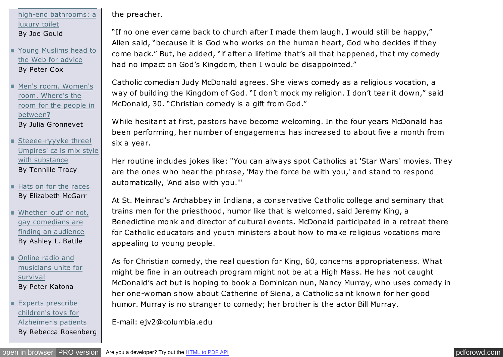high-end bathrooms: a luxury toilet By Joe Gould

 $\mathcal{L}_\text{max}$  the ultimate fixture for  $\mathcal{L}_\text{max}$ 

[Young Muslims head to](http://jscms.jrn.columbia.edu/cns/2007-04-24/cox-imamsonline.html)  $\blacksquare$ the Web for advice By Peter Cox

- Men's room. Women's room. Where's the [room for the people in](http://jscms.jrn.columbia.edu/cns/2007-04-24/gronnevet-unisexbathrooms.html) between? By Julia Gronnevet
- Steeee-ryyyke three! [Umpires' calls mix style](http://jscms.jrn.columbia.edu/cns/2007-04-24/tracy-strikeoutstyle.html) with substance By Tennille Tracy
- [Hats on for the races](http://jscms.jrn.columbia.edu/cns/2007-04-24/mcgarr-hatsonforhorseracing.html) By Elizabeth McGarr
- [Whether 'out' or not,](http://jscms.jrn.columbia.edu/cns/2007-04-24/battle-gaycomedians.html) gay comedians are finding an audience By Ashley L. Battle
- Online radio and [musicians unite for](http://jscms.jrn.columbia.edu/cns/2007-04-24/katona-savinginternetradio.html) survival By Peter Katona

Experts prescribe children's toys for [Alzheimer's patients](http://jscms.jrn.columbia.edu/cns/2007-04-24/rosenberg-alzheimerstoys.html) By Rebecca Rosenberg the preacher.

"If no one ever came back to church after I made them laugh, I would still be happy," Allen said, "because it is God who works on the human heart, God who decides if they come back." But, he added, "if after a lifetime that's all that happened, that my comedy had no impact on God's Kingdom, then I would be disappointed."

Catholic comedian Judy McDonald agrees. She views comedy as a religious vocation, a way of building the Kingdom of God. "I don't mock my religion. I don't tear it down," said McDonald, 30. "Christian comedy is a gift from God."

While hesitant at first, pastors have become welcoming. In the four years McDonald has been performing, her number of engagements has increased to about five a month from six a year.

Her routine includes jokes like: "You can always spot Catholics at 'Star Wars' movies. They are the ones who hear the phrase, 'May the force be with you,' and stand to respond automatically, 'And also with you.'"

At St. Meinrad's Archabbey in Indiana, a conservative Catholic college and seminary that trains men for the priesthood, humor like that is welcomed, said Jeremy King, a Benedictine monk and director of cultural events. McDonald participated in a retreat there for Catholic educators and youth ministers about how to make religious vocations more appealing to young people.

As for Christian comedy, the real question for King, 60, concerns appropriateness. What might be fine in an outreach program might not be at a High Mass. He has not caught McDonald's act but is hoping to book a Dominican nun, Nancy Murray, who uses comedy in her one-woman show about Catherine of Siena, a Catholic saint known for her good humor. Murray is no stranger to comedy; her brother is the actor Bill Murray.

E-mail: ejv2@columbia.edu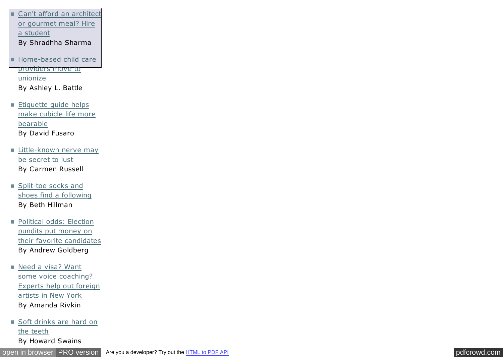- [Can't afford an architect](http://jscms.jrn.columbia.edu/cns/2007-04-24/sharma-cheaplabor.html) or gourmet meal? Hire a student By Shradhha Sharma
- [Home-based child care](http://jscms.jrn.columbia.edu/cns/2007-04-24/battle-childcareunions.html)  $\blacksquare$ providers move to unionize By Ashley L. Battle
- **Etiquette guide helps** [make cubicle life more](http://jscms.jrn.columbia.edu/cns/2007-04-24/fusaro-cubicles.html) bearable By David Fusaro
- **[Little-known nerve may](http://jscms.jrn.columbia.edu/cns/2007-04-24/russell-sexnerve.html)** be secret to lust By Carmen Russell
- **Split-toe socks and** [shoes find a following](http://jscms.jrn.columbia.edu/cns/2007-04-24/hillman-splittoeshoes.html) By Beth Hillman
- **Political odds: Election** pundits put money on [their favorite candidates](http://jscms.jrn.columbia.edu/cns/2007-04-24/goldberg-politicalstocktraders.html) By Andrew Goldberg
- Need a visa? Want some voice coaching? [Experts help out foreign](http://jscms.jrn.columbia.edu/cns/2007-04-24/rivkin-extraordinaryaliens.html) artists in New York By Amanda Rivkin
- [Soft drinks are hard on](http://jscms.jrn.columbia.edu/cns/2007-04-24/swains-corrosivesodas.html) the teeth By Howard Swains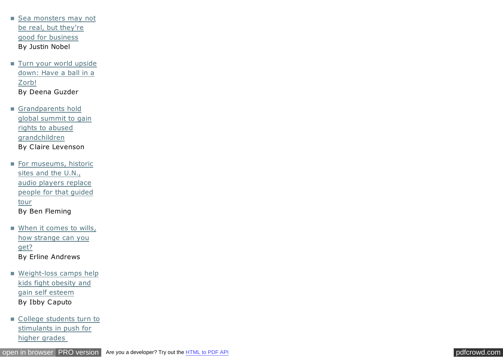[Sea monsters may not](http://jscms.jrn.columbia.edu/cns/2007-04-24/nobel-seamonsters.html) be real, but they're good for business By Justin Nobel

- **[Turn your world upside](http://jscms.jrn.columbia.edu/cns/2007-04-24/guzder-zorb.html)** down: Have a ball in a Zorb! By Deena Guzder
- Grandparents hold [global summit to gain](http://jscms.jrn.columbia.edu/cns/2007-04-24/levenson-internationalgrandparentsrights.html) rights to abused grandchildren By Claire Levenson
- For museums, historic sites and the U.N., audio players replace [people for that guided](http://jscms.jrn.columbia.edu/cns/2007-04-24/fleming-tourguides.html) tour By Ben Fleming
- **Mhen it comes to wills,** how strange can you get? By Erline Andrews
- [Weight-loss camps help](http://jscms.jrn.columbia.edu/cns/2007-04-24/caputo-weightlosscamps.html) kids fight obesity and gain self esteem By Ibby Caputo
- [College students turn to](http://jscms.jrn.columbia.edu/cns/2007-04-24/ant-stimulantabuse.html) stimulants in push for higher grades